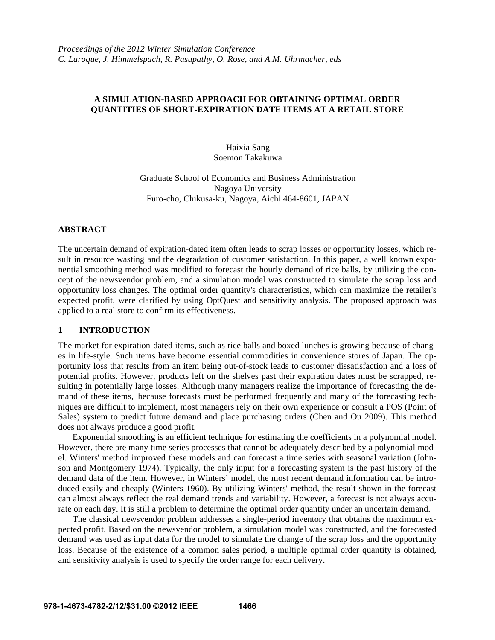# **A SIMULATION-BASED APPROACH FOR OBTAINING OPTIMAL ORDER QUANTITIES OF SHORT-EXPIRATION DATE ITEMS AT A RETAIL STORE**

Haixia Sang Soemon Takakuwa

Graduate School of Economics and Business Administration Nagoya University Furo-cho, Chikusa-ku, Nagoya, Aichi 464-8601, JAPAN

# **ABSTRACT**

The uncertain demand of expiration-dated item often leads to scrap losses or opportunity losses, which result in resource wasting and the degradation of customer satisfaction. In this paper, a well known exponential smoothing method was modified to forecast the hourly demand of rice balls, by utilizing the concept of the newsvendor problem, and a simulation model was constructed to simulate the scrap loss and opportunity loss changes. The optimal order quantity's characteristics, which can maximize the retailer's expected profit, were clarified by using OptQuest and sensitivity analysis. The proposed approach was applied to a real store to confirm its effectiveness.

### **1 INTRODUCTION**

The market for expiration-dated items, such as rice balls and boxed lunches is growing because of changes in life-style. Such items have become essential commodities in convenience stores of Japan. The opportunity loss that results from an item being out-of-stock leads to customer dissatisfaction and a loss of potential profits. However, products left on the shelves past their expiration dates must be scrapped, resulting in potentially large losses. Although many managers realize the importance of forecasting the demand of these items, because forecasts must be performed frequently and many of the forecasting techniques are difficult to implement, most managers rely on their own experience or consult a POS (Point of Sales) system to predict future demand and place purchasing orders (Chen and Ou 2009). This method does not always produce a good profit.

Exponential smoothing is an efficient technique for estimating the coefficients in a polynomial model. However, there are many time series processes that cannot be adequately described by a polynomial model. Winters' method improved these models and can forecast a time series with seasonal variation (Johnson and Montgomery 1974). Typically, the only input for a forecasting system is the past history of the demand data of the item. However, in Winters' model, the most recent demand information can be introduced easily and cheaply (Winters 1960). By utilizing Winters' method, the result shown in the forecast can almost always reflect the real demand trends and variability. However, a forecast is not always accurate on each day. It is still a problem to determine the optimal order quantity under an uncertain demand.

The classical newsvendor problem addresses a single-period inventory that obtains the maximum expected profit. Based on the newsvendor problem, a simulation model was constructed, and the forecasted demand was used as input data for the model to simulate the change of the scrap loss and the opportunity loss. Because of the existence of a common sales period, a multiple optimal order quantity is obtained, and sensitivity analysis is used to specify the order range for each delivery.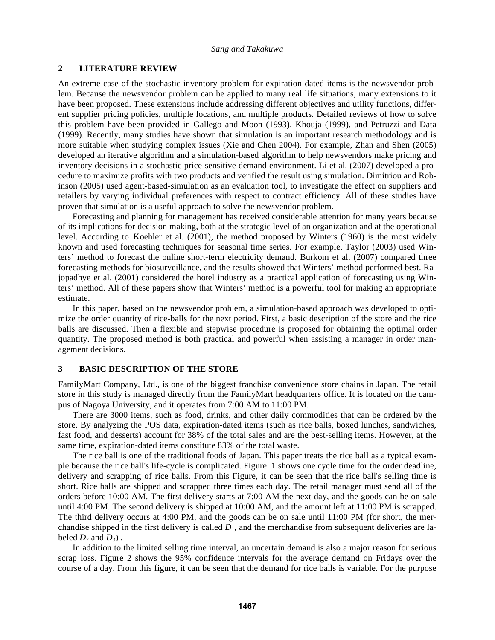#### **2 LITERATURE REVIEW**

An extreme case of the stochastic inventory problem for expiration-dated items is the newsvendor problem. Because the newsvendor problem can be applied to many real life situations, many extensions to it have been proposed. These extensions include addressing different objectives and utility functions, different supplier pricing policies, multiple locations, and multiple products. Detailed reviews of how to solve this problem have been provided in Gallego and Moon (1993), Khouja (1999), and Petruzzi and Data (1999). Recently, many studies have shown that simulation is an important research methodology and is more suitable when studying complex issues (Xie and Chen 2004). For example, Zhan and Shen (2005) developed an iterative algorithm and a simulation-based algorithm to help newsvendors make pricing and inventory decisions in a stochastic price-sensitive demand environment. Li et al. (2007) developed a procedure to maximize profits with two products and verified the result using simulation. Dimitriou and Robinson (2005) used agent-based-simulation as an evaluation tool, to investigate the effect on suppliers and retailers by varying individual preferences with respect to contract efficiency. All of these studies have proven that simulation is a useful approach to solve the newsvendor problem.

Forecasting and planning for management has received considerable attention for many years because of its implications for decision making, both at the strategic level of an organization and at the operational level. According to Koehler et al. (2001), the method proposed by Winters (1960) is the most widely known and used forecasting techniques for seasonal time series. For example, Taylor (2003) used Winters' method to forecast the online short-term electricity demand. Burkom et al. (2007) compared three forecasting methods for biosurveillance, and the results showed that Winters' method performed best. Rajopadhye et al. (2001) considered the hotel industry as a practical application of forecasting using Winters' method. All of these papers show that Winters' method is a powerful tool for making an appropriate estimate.

In this paper, based on the newsvendor problem, a simulation-based approach was developed to optimize the order quantity of rice-balls for the next period. First, a basic description of the store and the rice balls are discussed. Then a flexible and stepwise procedure is proposed for obtaining the optimal order quantity. The proposed method is both practical and powerful when assisting a manager in order management decisions.

# **3 BASIC DESCRIPTION OF THE STORE**

FamilyMart Company, Ltd., is one of the biggest franchise convenience store chains in Japan. The retail store in this study is managed directly from the FamilyMart headquarters office. It is located on the campus of Nagoya University, and it operates from 7:00 AM to 11:00 PM.

There are 3000 items, such as food, drinks, and other daily commodities that can be ordered by the store. By analyzing the POS data, expiration-dated items (such as rice balls, boxed lunches, sandwiches, fast food, and desserts) account for 38% of the total sales and are the best-selling items. However, at the same time, expiration-dated items constitute 83% of the total waste.

The rice ball is one of the traditional foods of Japan. This paper treats the rice ball as a typical example because the rice ball's life-cycle is complicated. Figure 1 shows one cycle time for the order deadline, delivery and scrapping of rice balls. From this Figure, it can be seen that the rice ball's selling time is short. Rice balls are shipped and scrapped three times each day. The retail manager must send all of the orders before 10:00 AM. The first delivery starts at 7:00 AM the next day, and the goods can be on sale until 4:00 PM. The second delivery is shipped at 10:00 AM, and the amount left at 11:00 PM is scrapped. The third delivery occurs at 4:00 PM, and the goods can be on sale until 11:00 PM (for short, the merchandise shipped in the first delivery is called  $D_1$ , and the merchandise from subsequent deliveries are labeled  $D_2$  and  $D_3$ ).

In addition to the limited selling time interval, an uncertain demand is also a major reason for serious scrap loss. Figure 2 shows the 95% confidence intervals for the average demand on Fridays over the course of a day. From this figure, it can be seen that the demand for rice balls is variable. For the purpose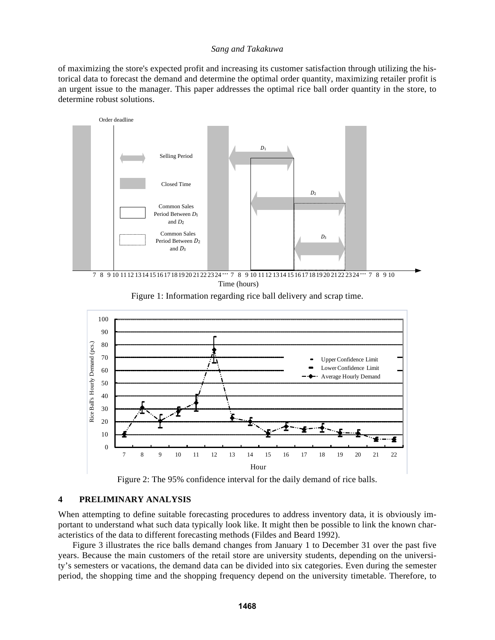of maximizing the store's expected profit and increasing its customer satisfaction through utilizing the historical data to forecast the demand and determine the optimal order quantity, maximizing retailer profit is an urgent issue to the manager. This paper addresses the optimal rice ball order quantity in the store, to determine robust solutions.



Figure 1: Information regarding rice ball delivery and scrap time.



Figure 2: The 95% confidence interval for the daily demand of rice balls.

## **4 PRELIMINARY ANALYSIS**

When attempting to define suitable forecasting procedures to address inventory data, it is obviously important to understand what such data typically look like. It might then be possible to link the known characteristics of the data to different forecasting methods (Fildes and Beard 1992).

Figure 3 illustrates the rice balls demand changes from January 1 to December 31 over the past five years. Because the main customers of the retail store are university students, depending on the university's semesters or vacations, the demand data can be divided into six categories. Even during the semester period, the shopping time and the shopping frequency depend on the university timetable. Therefore, to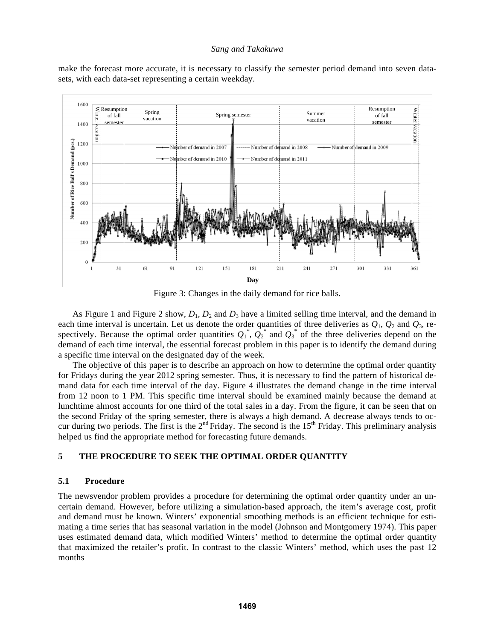make the forecast more accurate, it is necessary to classify the semester period demand into seven datasets, with each data-set representing a certain weekday.



Figure 3: Changes in the daily demand for rice balls.

As Figure 1 and Figure 2 show,  $D_1$ ,  $D_2$  and  $D_3$  have a limited selling time interval, and the demand in each time interval is uncertain. Let us denote the order quantities of three deliveries as  $Q_1$ ,  $Q_2$  and  $Q_3$ , respectively. Because the optimal order quantities  $Q_1^*, Q_2^*$  and  $Q_3^*$  of the three deliveries depend on the demand of each time interval, the essential forecast problem in this paper is to identify the demand during a specific time interval on the designated day of the week.

The objective of this paper is to describe an approach on how to determine the optimal order quantity for Fridays during the year 2012 spring semester. Thus, it is necessary to find the pattern of historical demand data for each time interval of the day. Figure 4 illustrates the demand change in the time interval from 12 noon to 1 PM. This specific time interval should be examined mainly because the demand at lunchtime almost accounts for one third of the total sales in a day. From the figure, it can be seen that on the second Friday of the spring semester, there is always a high demand. A decrease always tends to occur during two periods. The first is the  $2<sup>nd</sup>$  Friday. The second is the 15<sup>th</sup> Friday. This preliminary analysis helped us find the appropriate method for forecasting future demands.

### **5 THE PROCEDURE TO SEEK THE OPTIMAL ORDER QUANTITY**

### **5.1 Procedure**

The newsvendor problem provides a procedure for determining the optimal order quantity under an uncertain demand. However, before utilizing a simulation-based approach, the item's average cost, profit and demand must be known. Winters' exponential smoothing methods is an efficient technique for estimating a time series that has seasonal variation in the model (Johnson and Montgomery 1974). This paper uses estimated demand data, which modified Winters' method to determine the optimal order quantity that maximized the retailer's profit. In contrast to the classic Winters' method, which uses the past 12 months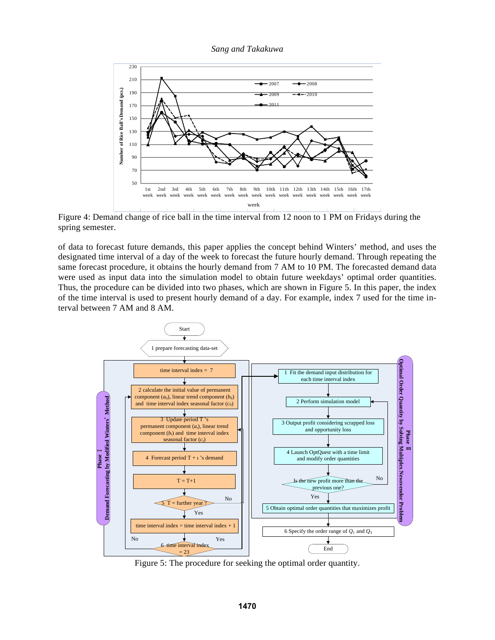*Sang and Takakuwa* 



Figure 4: Demand change of rice ball in the time interval from 12 noon to 1 PM on Fridays during the spring semester.

of data to forecast future demands, this paper applies the concept behind Winters' method, and uses the designated time interval of a day of the week to forecast the future hourly demand. Through repeating the same forecast procedure, it obtains the hourly demand from 7 AM to 10 PM. The forecasted demand data were used as input data into the simulation model to obtain future weekdays' optimal order quantities. Thus, the procedure can be divided into two phases, which are shown in Figure 5. In this paper, the index of the time interval is used to present hourly demand of a day. For example, index 7 used for the time interval between 7 AM and 8 AM.



Figure 5: The procedure for seeking the optimal order quantity.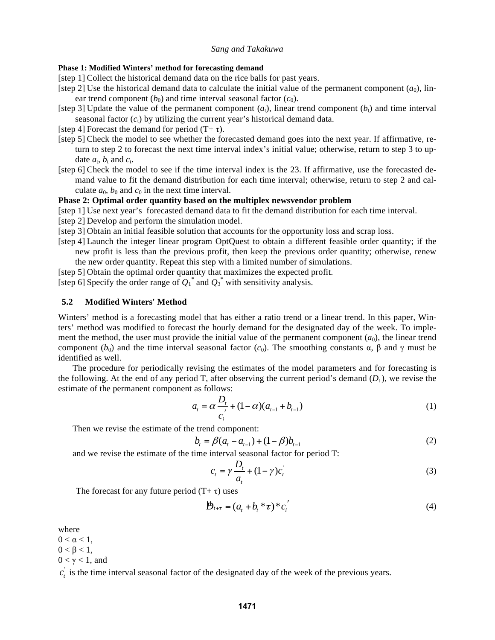## **Phase 1: Modified Winters' method for forecasting demand**

[step 1] Collect the historical demand data on the rice balls for past years.

- [step 2] Use the historical demand data to calculate the initial value of the permanent component  $(a_0)$ , linear trend component  $(b_0)$  and time interval seasonal factor  $(c_0)$ .
- [step 3] Update the value of the permanent component  $(a_t)$ , linear trend component  $(b_t)$  and time interval seasonal factor  $(c<sub>t</sub>)$  by utilizing the current year's historical demand data.
- [step 4] Forecast the demand for period  $(T + \tau)$ .
- [step 5] Check the model to see whether the forecasted demand goes into the next year. If affirmative, return to step 2 to forecast the next time interval index's initial value; otherwise, return to step 3 to update  $a_t$ ,  $b_t$  and  $c_t$ .
- [step 6] Check the model to see if the time interval index is the 23. If affirmative, use the forecasted demand value to fit the demand distribution for each time interval; otherwise, return to step 2 and calculate  $a_0$ ,  $b_0$  and  $c_0$  in the next time interval.

# **Phase 2: Optimal order quantity based on the multiplex newsvendor problem**

[step 1] Use next year's forecasted demand data to fit the demand distribution for each time interval.

[step 2] Develop and perform the simulation model.

[step 3] Obtain an initial feasible solution that accounts for the opportunity loss and scrap loss.

[step 4] Launch the integer linear program OptQuest to obtain a different feasible order quantity; if the new profit is less than the previous profit, then keep the previous order quantity; otherwise, renew the new order quantity. Repeat this step with a limited number of simulations.

[step 5] Obtain the optimal order quantity that maximizes the expected profit.

[step 6] Specify the order range of  $Q_1^*$  and  $Q_3^*$  with sensitivity analysis.

# **5.2 Modified Winters' Method**

Winters' method is a forecasting model that has either a ratio trend or a linear trend. In this paper, Winters' method was modified to forecast the hourly demand for the designated day of the week. To implement the method, the user must provide the initial value of the permanent component  $(a_0)$ , the linear trend component (*b*<sub>0</sub>) and the time interval seasonal factor (*c*<sub>0</sub>). The smoothing constants α, β and γ must be identified as well.

The procedure for periodically revising the estimates of the model parameters and for forecasting is the following. At the end of any period T, after observing the current period's demand  $(D<sub>t</sub>)$ , we revise the estimate of the permanent component as follows:

$$
a_{t} = \alpha \frac{D_{t}}{c_{i}^{'}} + (1 - \alpha)(a_{t-1} + b_{t-1})
$$
\n(1)

Then we revise the estimate of the trend component:

$$
b_t = \beta(a_t - a_{t-1}) + (1 - \beta)b_{t-1}
$$
 (2)

and we revise the estimate of the time interval seasonal factor for period T:

$$
c_t = \gamma \frac{D_t}{a_t} + (1 - \gamma)c_t
$$
\n<sup>(3)</sup>

The forecast for any future period  $(T + \tau)$  uses

$$
\mathbf{B}_{t+\tau} = (a_t + b_t * \tau) * c'_i \tag{4}
$$

where

 $0 < \alpha < 1$ .

 $0 < \beta < 1$ ,

 $0 < \gamma < 1$ , and

 $c<sub>i</sub>$  is the time interval seasonal factor of the designated day of the week of the previous years.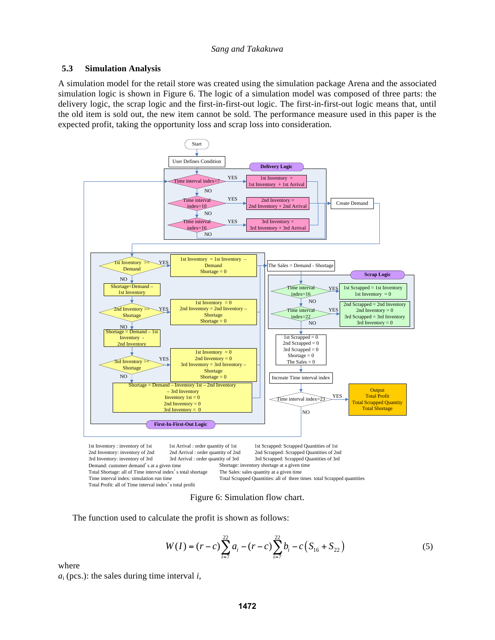## **5.3 Simulation Analysis**

A simulation model for the retail store was created using the simulation package Arena and the associated simulation logic is shown in Figure 6. The logic of a simulation model was composed of three parts: the delivery logic, the scrap logic and the first-in-first-out logic. The first-in-first-out logic means that, until the old item is sold out, the new item cannot be sold. The performance measure used in this paper is the expected profit, taking the opportunity loss and scrap loss into consideration.



Figure 6: Simulation flow chart.

The function used to calculate the profit is shown as follows:

$$
W(I) = (r - c) \sum_{i=1}^{22} a_i - (r - c) \sum_{i=1}^{22} b_i - c \left( S_{16} + S_{22} \right)
$$
 (5)

where

*a*i (pcs.): the sales during time interval *i*,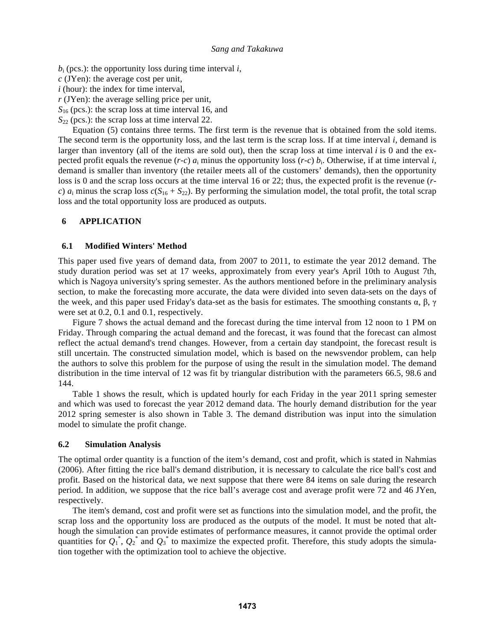$b_i$  (pcs.): the opportunity loss during time interval *i*,

- *c* (JYen): the average cost per unit,
- *i* (hour): the index for time interval,
- *r* (JYen): the average selling price per unit,
- *S*16 (pcs.): the scrap loss at time interval 16, and
- *S*22 (pcs.): the scrap loss at time interval 22.

Equation (5) contains three terms. The first term is the revenue that is obtained from the sold items. The second term is the opportunity loss, and the last term is the scrap loss. If at time interval *i*, demand is larger than inventory (all of the items are sold out), then the scrap loss at time interval *i* is 0 and the expected profit equals the revenue  $(r-c) a_i$  minus the opportunity loss  $(r-c) b_i$ . Otherwise, if at time interval *i*, demand is smaller than inventory (the retailer meets all of the customers' demands), then the opportunity loss is 0 and the scrap loss occurs at the time interval 16 or 22; thus, the expected profit is the revenue (*rc*)  $a_i$  minus the scrap loss  $c(S_{16} + S_{22})$ . By performing the simulation model, the total profit, the total scrap loss and the total opportunity loss are produced as outputs.

### **6 APPLICATION**

#### **6.1 Modified Winters' Method**

This paper used five years of demand data, from 2007 to 2011, to estimate the year 2012 demand. The study duration period was set at 17 weeks, approximately from every year's April 10th to August 7th, which is Nagoya university's spring semester. As the authors mentioned before in the preliminary analysis section, to make the forecasting more accurate, the data were divided into seven data-sets on the days of the week, and this paper used Friday's data-set as the basis for estimates. The smoothing constants  $α$ ,  $β$ ,  $γ$ were set at 0.2, 0.1 and 0.1, respectively.

Figure 7 shows the actual demand and the forecast during the time interval from 12 noon to 1 PM on Friday. Through comparing the actual demand and the forecast, it was found that the forecast can almost reflect the actual demand's trend changes. However, from a certain day standpoint, the forecast result is still uncertain. The constructed simulation model, which is based on the newsvendor problem, can help the authors to solve this problem for the purpose of using the result in the simulation model. The demand distribution in the time interval of 12 was fit by triangular distribution with the parameters 66.5, 98.6 and 144.

Table 1 shows the result, which is updated hourly for each Friday in the year 2011 spring semester and which was used to forecast the year 2012 demand data. The hourly demand distribution for the year 2012 spring semester is also shown in Table 3. The demand distribution was input into the simulation model to simulate the profit change.

# **6.2 Simulation Analysis**

The optimal order quantity is a function of the item's demand, cost and profit, which is stated in Nahmias (2006). After fitting the rice ball's demand distribution, it is necessary to calculate the rice ball's cost and profit. Based on the historical data, we next suppose that there were 84 items on sale during the research period. In addition, we suppose that the rice ball's average cost and average profit were 72 and 46 JYen, respectively.

The item's demand, cost and profit were set as functions into the simulation model, and the profit, the scrap loss and the opportunity loss are produced as the outputs of the model. It must be noted that although the simulation can provide estimates of performance measures, it cannot provide the optimal order quantities for  $Q_1^*$ ,  $Q_2^*$  and  $Q_3^*$  to maximize the expected profit. Therefore, this study adopts the simulation together with the optimization tool to achieve the objective.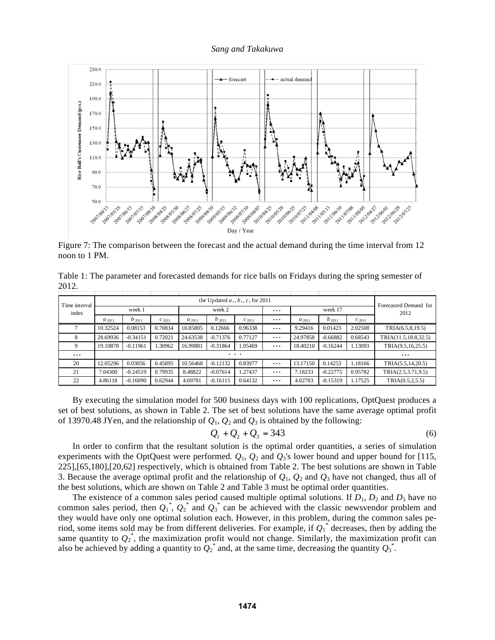

Figure 7: The comparison between the forecast and the actual demand during the time interval from 12 noon to 1 PM.

Table 1: The parameter and forecasted demands for rice balls on Fridays during the spring semester of 2012.

| Time interval<br>index | the Updated $a_1, b_1, c_1$ for 2011 |            |            |            |            |            |          |            |            | Forecasted Demand for |                      |
|------------------------|--------------------------------------|------------|------------|------------|------------|------------|----------|------------|------------|-----------------------|----------------------|
|                        | week 1                               |            |            | week 2     |            |            | .        | week 17    |            |                       | 2012                 |
|                        | $a_{2011}$                           | $b_{2011}$ | $c_{2011}$ | $a_{2011}$ | $b_{2011}$ | $c_{2011}$ | $\cdots$ | $a_{2011}$ | $b_{2011}$ | $c_{2011}$            |                      |
|                        | 10.32524                             | 0.08153    | 0.70834    | 10.85805   | 0.12666    | 0.96338    | $\cdots$ | 9.29416    | 0.01423    | 2.02508               | TRIA(6.5,8,19.5)     |
| 8                      | 28.69936                             | $-0.34151$ | 0.72021    | 24.63538   | $-0.71376$ | 0.77127    | $\cdots$ | 24.97858   | $-0.66882$ | 0.68543               | TRIA(11.5,18.8,32.5) |
| 9                      | 19.10878                             | $-0.11961$ | 1.30962    | 16.99881   | $-0.31864$ | 1.05469    | $\cdots$ | 18.40210   | $-0.16244$ | 1.13093               | TRIA(9.5, 16, 25.5)  |
| $\cdots$               | $\cdots$                             |            |            |            |            |            |          |            | $\cdots$   |                       |                      |
| 20                     | 12.05296                             | 0.03056    | 0.45895    | 10.56468   | $-0.12132$ | 0.83977    | $\cdots$ | 13.17150   | 0.14253    | 1.18166               | TRIA(5.5,14,20.5)    |
| 21                     | 7.04300                              | $-0.24519$ | 0.79935    | 8.48822    | $-0.07614$ | .27437     | $\cdots$ | 7.18233    | $-0.22775$ | 0.95782               | TRIA(2.5,3.71,9.5)   |
| 22                     | 4.86118                              | $-0.16090$ | 0.62944    | 4.69781    | $-0.16115$ | 0.64132    | $\cdots$ | 4.02783    | $-0.15319$ | 1.17525               | TRIA(0.5, 2.5.5)     |

By executing the simulation model for 500 business days with 100 replications, OptQuest produces a set of best solutions, as shown in Table 2. The set of best solutions have the same average optimal profit of 13970.48 JYen, and the relationship of  $Q_1$ ,  $Q_2$  and  $Q_3$  is obtained by the following:

$$
Q_1 + Q_2 + Q_3 = 343\tag{6}
$$

In order to confirm that the resultant solution is the optimal order quantities, a series of simulation experiments with the OptQuest were performed. *Q*1, *Q*2 and *Q*3's lower bound and upper bound for [115, 225],[65,180],[20,62] respectively, which is obtained from Table 2. The best solutions are shown in Table 3. Because the average optimal profit and the relationship of  $Q_1$ ,  $Q_2$  and  $Q_3$  have not changed, thus all of the best solutions, which are shown on Table 2 and Table 3 must be optimal order quantities.

The existence of a common sales period caused multiple optimal solutions. If  $D_1$ ,  $D_2$  and  $D_3$  have no common sales period, then  $Q_1^*$ ,  $Q_2^*$  and  $Q_3^*$  can be achieved with the classic newsvendor problem and they would have only one optimal solution each. However, in this problem, during the common sales period, some items sold may be from different deliveries. For example, if  $Q_1^*$  decreases, then by adding the same quantity to  $Q_2^*$ , the maximization profit would not change. Similarly, the maximization profit can also be achieved by adding a quantity to  $Q_2^*$  and, at the same time, decreasing the quantity  $Q_3^*$ .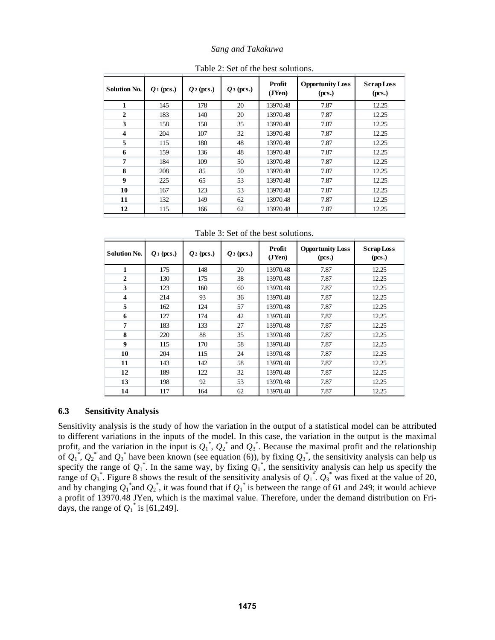| <b>Solution No.</b>     | $Q_1$ (pcs.) | $Q_2$ (pcs.) | $Q_3$ (pcs.) | Profit<br>(JYen) | <b>Opportunity Loss</b><br>(pcs.) | <b>ScrapLoss</b><br>(pcs.) |
|-------------------------|--------------|--------------|--------------|------------------|-----------------------------------|----------------------------|
| 1                       | 145          | 178          | 20           | 13970.48         | 7.87                              | 12.25                      |
| $\overline{2}$          | 183          | 140          | 20           | 13970.48         | 7.87                              | 12.25                      |
| 3                       | 158          | 150          | 35           | 13970.48         | 7.87                              | 12.25                      |
| $\overline{\mathbf{4}}$ | 204          | 107          | 32           | 13970.48         | 7.87                              | 12.25                      |
| 5                       | 115          | 180          | 48           | 13970.48         | 7.87                              | 12.25                      |
| 6                       | 159          | 136          | 48           | 13970.48         | 7.87                              | 12.25                      |
| 7                       | 184          | 109          | 50           | 13970.48         | 7.87                              | 12.25                      |
| 8                       | 208          | 85           | 50           | 13970.48         | 7.87                              | 12.25                      |
| $\boldsymbol{9}$        | 225          | 65           | 53           | 13970.48         | 7.87                              | 12.25                      |
| 10                      | 167          | 123          | 53           | 13970.48         | 7.87                              | 12.25                      |
| 11                      | 132          | 149          | 62           | 13970.48         | 7.87                              | 12.25                      |
| 12                      | 115          | 166          | 62           | 13970.48         | 7.87                              | 12.25                      |

Table 2: Set of the best solutions.

Table 3: Set of the best solutions.

| <b>Solution No.</b>     | $Q_1$ (pcs.) | $Q_2$ (pcs.) | $Q_3$ (pcs.) | Profit<br>(JYen) | <b>Opportunity Loss</b><br>(pcs.) | <b>ScrapLoss</b><br>(pcs.) |
|-------------------------|--------------|--------------|--------------|------------------|-----------------------------------|----------------------------|
| 1                       | 175          | 148          | 20           | 13970.48         | 7.87                              | 12.25                      |
| $\mathbf{2}$            | 130          | 175          | 38           | 13970.48         | 7.87                              | 12.25                      |
| 3                       | 123          | 160          | 60           | 13970.48         | 7.87                              | 12.25                      |
| $\overline{\mathbf{4}}$ | 214          | 93           | 36           | 13970.48         | 7.87                              | 12.25                      |
| 5                       | 162          | 124          | 57           | 13970.48         | 7.87                              | 12.25                      |
| 6                       | 127          | 174          | 42           | 13970.48         | 7.87                              | 12.25                      |
| 7                       | 183          | 133          | 27           | 13970.48         | 7.87                              | 12.25                      |
| 8                       | 220          | 88           | 35           | 13970.48         | 7.87                              | 12.25                      |
| $\boldsymbol{9}$        | 115          | 170          | 58           | 13970.48         | 7.87                              | 12.25                      |
| 10                      | 204          | 115          | 24           | 13970.48         | 7.87                              | 12.25                      |
| 11                      | 143          | 142          | 58           | 13970.48         | 7.87                              | 12.25                      |
| 12                      | 189          | 122          | 32           | 13970.48         | 7.87                              | 12.25                      |
| 13                      | 198          | 92           | 53           | 13970.48         | 7.87                              | 12.25                      |
| 14                      | 117          | 164          | 62           | 13970.48         | 7.87                              | 12.25                      |

### **6.3 Sensitivity Analysis**

Sensitivity analysis is the study of how the variation in the output of a statistical model can be attributed to different variations in the inputs of the model. In this case, the variation in the output is the maximal profit, and the variation in the input is  $Q_1^*$ ,  $Q_2^*$  and  $Q_3^*$ . Because the maximal profit and the relationship of  $Q_1^*$ ,  $Q_2^*$  and  $Q_3^*$  have been known (see equation (6)), by fixing  $Q_3^*$ , the sensitivity analysis can help us specify the range of  $Q_1^*$ . In the same way, by fixing  $Q_1^*$ , the sensitivity analysis can help us specify the range of  $Q_3^*$ . Figure 8 shows the result of the sensitivity analysis of  $Q_1^*$ .  $Q_3^*$  was fixed at the value of 20, and by changing  $Q_1^*$  and  $Q_2^*$ , it was found that if  $Q_1^*$  is between the range of 61 and 249; it would achieve a profit of 13970.48 JYen, which is the maximal value. Therefore, under the demand distribution on Fridays, the range of  $Q_1^*$  is [61,249].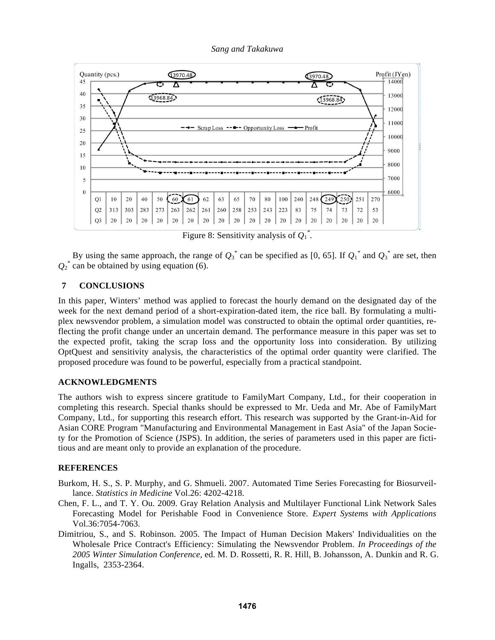

Figure 8: Sensitivity analysis of *Q*<sup>1</sup> *\** .

By using the same approach, the range of  $Q_3^*$  can be specified as [0, 65]. If  $Q_1^*$  and  $Q_3^*$  are set, then  $Q_2^*$  can be obtained by using equation (6).

# **7 CONCLUSIONS**

In this paper, Winters' method was applied to forecast the hourly demand on the designated day of the week for the next demand period of a short-expiration-dated item, the rice ball. By formulating a multiplex newsvendor problem, a simulation model was constructed to obtain the optimal order quantities, reflecting the profit change under an uncertain demand. The performance measure in this paper was set to the expected profit, taking the scrap loss and the opportunity loss into consideration. By utilizing OptQuest and sensitivity analysis, the characteristics of the optimal order quantity were clarified. The proposed procedure was found to be powerful, especially from a practical standpoint.

# **ACKNOWLEDGMENTS**

The authors wish to express sincere gratitude to FamilyMart Company, Ltd., for their cooperation in completing this research. Special thanks should be expressed to Mr. Ueda and Mr. Abe of FamilyMart Company, Ltd., for supporting this research effort. This research was supported by the Grant-in-Aid for Asian CORE Program "Manufacturing and Environmental Management in East Asia" of the Japan Society for the Promotion of Science (JSPS). In addition, the series of parameters used in this paper are fictitious and are meant only to provide an explanation of the procedure.

# **REFERENCES**

- Burkom, H. S., S. P. Murphy, and G. Shmueli. 2007. Automated Time Series Forecasting for Biosurveillance. *Statistics in Medicine* Vol.26: 4202-4218.
- Chen, F. L., and T. Y. Ou. 2009. Gray Relation Analysis and Multilayer Functional Link Network Sales Forecasting Model for Perishable Food in Convenience Store. *Expert Systems with Applications* Vol.36:7054-7063.
- Dimitriou, S., and S. Robinson. 2005. The Impact of Human Decision Makers' Individualities on the Wholesale Price Contract's Efficiency: Simulating the Newsvendor Problem. *In Proceedings of the 2005 Winter Simulation Conference,* ed. M. D. Rossetti, R. R. Hill, B. Johansson, A. Dunkin and R. G. Ingalls, 2353-2364.